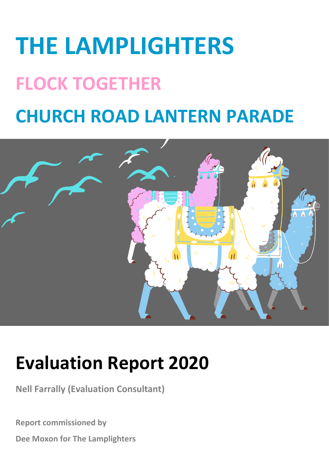# **THE LAMPLIGHTERS FLOCK TOGETHER CHURCH ROAD LANTERN PARADE**



## **Evaluation Report 2020**

**Nell Farrally (Evaluation Consultant)**

**Report commissioned by**

**Dee Moxon for The Lamplighters**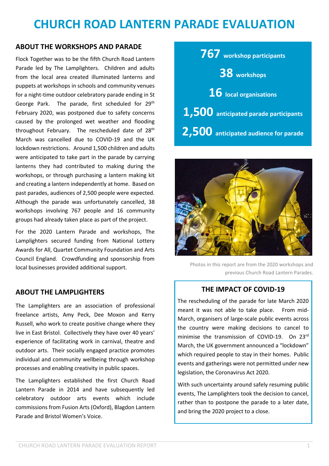### **CHURCH ROAD LANTERN PARADE EVALUATION**

#### **ABOUT THE WORKSHOPS AND PARADE**

Flock Together was to be the fifth Church Road Lantern Parade led by The Lamplighters. Children and adults from the local area created illuminated lanterns and puppets at workshops in schools and community venues for a night-time outdoor celebratory parade ending in St George Park. The parade, first scheduled for 29<sup>th</sup> February 2020, was postponed due to safety concerns caused by the prolonged wet weather and flooding throughout February. The rescheduled date of 28<sup>th</sup> March was cancelled due to COVID-19 and the UK lockdown restrictions. Around 1,500 children and adults were anticipated to take part in the parade by carrying lanterns they had contributed to making during the workshops, or through purchasing a lantern making kit and creating a lantern independently at home. Based on past parades, audiences of 2,500 people were expected. Although the parade was unfortunately cancelled, 38 workshops involving 767 people and 16 community groups had already taken place as part of the project.

For the 2020 Lantern Parade and workshops, The Lamplighters secured funding from National Lottery Awards for All, Quartet Community Foundation and Arts Council England. Crowdfunding and sponsorship from local businesses provided additional support.

#### **ABOUT THE LAMPLIGHTERS**

The Lamplighters are an association of professional freelance artists, Amy Peck, Dee Moxon and Kerry Russell, who work to create positive change where they live in East Bristol. Collectively they have over 40 years' experience of facilitating work in carnival, theatre and outdoor arts. Their socially engaged practice promotes individual and community wellbeing through workshop processes and enabling creativity in public spaces.

The Lamplighters established the first Church Road Lantern Parade in 2014 and have subsequently led celebratory outdoor arts events which include commissions from Fusion Arts (Oxford), Blagdon Lantern Parade and Bristol Women's Voice.

| 767 workshop participants             |
|---------------------------------------|
| 38 workshops                          |
| $16$ local organisations              |
| 1,500 anticipated parade participants |
| 2,500 anticipated audience for parade |



Photos in this report are from the 2020 workshops and previous Church Road Lantern Parades.

#### **THE IMPACT OF COVID-19**

The rescheduling of the parade for late March 2020 meant it was not able to take place. From mid-March, organisers of large-scale public events across the country were making decisions to cancel to minimise the transmission of COVID-19. On 23rd March, the UK government announced a "lockdown" which required people to stay in their homes. Public events and gatherings were not permitted under new legislation, the Coronavirus Act 2020.

With such uncertainty around safely resuming public events, The Lamplighters took the decision to cancel, rather than to postpone the parade to a later date, and bring the 2020 project to a close.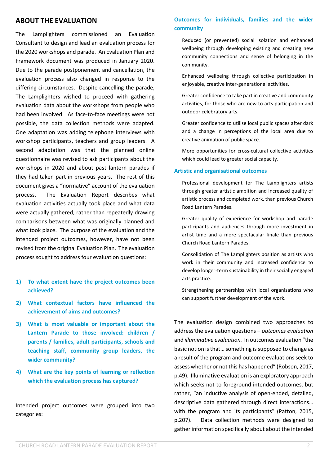#### **ABOUT THE EVALUATION**

The Lamplighters commissioned an Evaluation Consultant to design and lead an evaluation process for the 2020 workshops and parade. An Evaluation Plan and Framework document was produced in January 2020. Due to the parade postponement and cancellation, the evaluation process also changed in response to the differing circumstances. Despite cancelling the parade, The Lamplighters wished to proceed with gathering evaluation data about the workshops from people who had been involved. As face-to-face meetings were not possible, the data collection methods were adapted. One adaptation was adding telephone interviews with workshop participants, teachers and group leaders. A second adaptation was that the planned online questionnaire was revised to ask participants about the workshops in 2020 and about past lantern parades if they had taken part in previous years. The rest of this document gives a "normative" account of the evaluation process. The Evaluation Report describes what evaluation activities actually took place and what data were actually gathered, rather than repeatedly drawing comparisons between what was originally planned and what took place. The purpose of the evaluation and the intended project outcomes, however, have not been revised from the original Evaluation Plan. The evaluation process sought to address four evaluation questions:

- **1) To what extent have the project outcomes been achieved?**
- **2) What contextual factors have influenced the achievement of aims and outcomes?**
- **3) What is most valuable or important about the Lantern Parade to those involved: children / parents / families, adult participants, schools and teaching staff, community group leaders, the wider community?**
- **4) What are the key points of learning or reflection which the evaluation process has captured?**

Intended project outcomes were grouped into two categories:

#### **Outcomes for individuals, families and the wider community**

Reduced (or prevented) social isolation and enhanced wellbeing through developing existing and creating new community connections and sense of belonging in the community.

Enhanced wellbeing through collective participation in enjoyable, creative inter-generational activities.

Greater confidence to take part in creative and community activities, for those who are new to arts participation and outdoor celebratory arts.

Greater confidence to utilise local public spaces after dark and a change in perceptions of the local area due to creative animation of public space.

More opportunities for cross-cultural collective activities which could lead to greater social capacity.

#### **Artistic and organisational outcomes**

Professional development for The Lamplighters artists through greater artistic ambition and increased quality of artistic process and completed work, than previous Church Road Lantern Parades.

Greater quality of experience for workshop and parade participants and audiences through more investment in artist time and a more spectacular finale than previous Church Road Lantern Parades.

Consolidation of The Lamplighters position as artists who work in their community and increased confidence to develop longer-term sustainability in their socially engaged arts practice.

Strengthening partnerships with local organisations who can support further development of the work.

The evaluation design combined two approaches to address the evaluation questions – *outcomes evaluation*  and *illuminative evaluation.* In outcomes evaluation "the basic notion is that… something is supposed to change as a result of the program and outcome evaluations seek to assess whether or not this has happened" (Robson, 2017, p.49). Illuminative evaluation is an exploratory approach which seeks not to foreground intended outcomes, but rather, "an inductive analysis of open-ended, detailed, descriptive data gathered through direct interactions… with the program and its participants" (Patton, 2015, p.207). Data collection methods were designed to gather information specifically about about the intended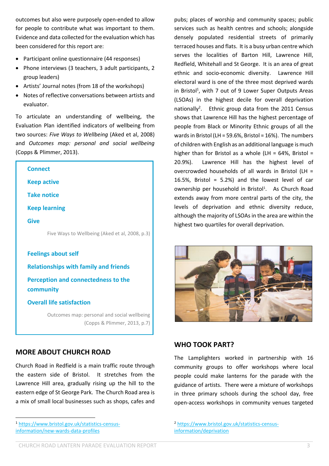outcomes but also were purposely open-ended to allow for people to contribute what was important to them. Evidence and data collected for the evaluation which has been considered for this report are:

- Participant online questionnaire (44 responses)
- Phone interviews (3 teachers, 3 adult participants, 2 group leaders)
- Artists' Journal notes (from 18 of the workshops)
- Notes of reflective conversations between artists and evaluator.

To articulate an understanding of wellbeing, the Evaluation Plan identified indicators of wellbeing from two sources: *Five Ways to Wellbeing* (Aked et al, 2008) and *Outcomes map: personal and social wellbeing* (Copps & Plimmer, 2013).

| <b>Connect</b>                                          |
|---------------------------------------------------------|
| <b>Keep active</b>                                      |
| <b>Take notice</b>                                      |
| <b>Keep learning</b>                                    |
| <b>Give</b>                                             |
| Five Ways to Wellbeing (Aked et al, 2008, p.3)          |
| <b>Feelings about self</b>                              |
| <b>Relationships with family and friends</b>            |
| <b>Perception and connectedness to the</b><br>community |

#### **Overall life satisfaction**

Outcomes map: personal and social wellbeing (Copps & Plimmer, 2013, p.7)

#### **MORE ABOUT CHURCH ROAD**

Church Road in Redfield is a main traffic route through the eastern side of Bristol. It stretches from the Lawrence Hill area, gradually rising up the hill to the eastern edge of St George Park. The Church Road area is a mix of small local businesses such as shops, cafes and

<sup>1</sup> [https://www.bristol.gov.uk/statistics-census](https://www.bristol.gov.uk/statistics-census-information/new-wards-data-profiles)[information/new-wards-data-profiles](https://www.bristol.gov.uk/statistics-census-information/new-wards-data-profiles)

pubs; places of worship and community spaces; public services such as health centres and schools; alongside densely populated residential streets of primarily terraced houses and flats. It is a busy urban centre which serves the localities of Barton Hill, Lawrence Hill, Redfield, Whitehall and St George. It is an area of great ethnic and socio-economic diversity. Lawrence Hill electoral ward is one of the three most deprived wards in Bristol<sup>1</sup>, with 7 out of 9 Lower Super Outputs Areas (LSOAs) in the highest decile for overall deprivation nationally<sup>2</sup>. Ethnic group data from the 2011 Census shows that Lawrence Hill has the highest percentage of people from Black or Minority Ethnic groups of all the wards in Bristol (LH = 59.6%, Bristol = 16%). The numbers of children with English as an additional language is much higher than for Bristol as a whole (LH =  $64\%$ , Bristol = 20.9%). Lawrence Hill has the highest level of overcrowded households of all wards in Bristol (LH = 16.5%, Bristol =  $5.2\%$ ) and the lowest level of car ownership per household in Bristol<sup>1</sup>. As Church Road extends away from more central parts of the city, the levels of deprivation and ethnic diversity reduce, although the majority of LSOAs in the area are within the highest two quartiles for overall deprivation.



#### **WHO TOOK PART?**

The Lamplighters worked in partnership with 16 community groups to offer workshops where local people could make lanterns for the parade with the guidance of artists. There were a mixture of workshops in three primary schools during the school day, free open-access workshops in community venues targeted

<sup>2</sup> [https://www.bristol.gov.uk/statistics-census](https://www.bristol.gov.uk/statistics-census-information/deprivation)[information/deprivation](https://www.bristol.gov.uk/statistics-census-information/deprivation)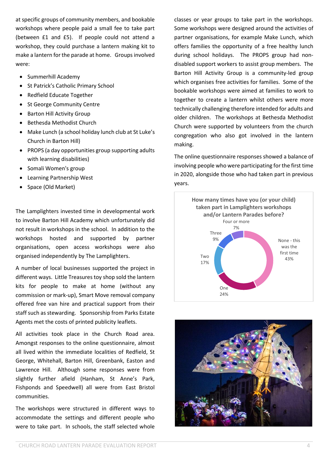at specific groups of community members, and bookable workshops where people paid a small fee to take part (between £1 and £5). If people could not attend a workshop, they could purchase a lantern making kit to make a lantern for the parade at home. Groups involved were:

- Summerhill Academy
- St Patrick's Catholic Primary School
- Redfield Educate Together
- St George Community Centre
- Barton Hill Activity Group
- Bethesda Methodist Church
- Make Lunch (a school holiday lunch club at St Luke's Church in Barton Hill)
- PROPS (a day opportunities group supporting adults with learning disabilities)
- Somali Women's group
- Learning Partnership West
- Space (Old Market)

The Lamplighters invested time in developmental work to involve Barton Hill Academy which unfortunately did not result in workshops in the school. In addition to the workshops hosted and supported by partner organisations, open access workshops were also organised independently by The Lamplighters.

A number of local businesses supported the project in different ways. Little Treasures toy shop sold the lantern kits for people to make at home (without any commission or mark-up), Smart Move removal company offered free van hire and practical support from their staff such as stewarding. Sponsorship from Parks Estate Agents met the costs of printed publicity leaflets.

All activities took place in the Church Road area. Amongst responses to the online questionnaire, almost all lived within the immediate localities of Redfield, St George, Whitehall, Barton Hill, Greenbank, Easton and Lawrence Hill. Although some responses were from slightly further afield (Hanham, St Anne's Park, Fishponds and Speedwell) all were from East Bristol communities.

The workshops were structured in different ways to accommodate the settings and different people who were to take part. In schools, the staff selected whole classes or year groups to take part in the workshops. Some workshops were designed around the activities of partner organisations, for example Make Lunch, which offers families the opportunity of a free healthy lunch during school holidays. The PROPS group had nondisabled support workers to assist group members. The Barton Hill Activity Group is a community-led group which organises free activities for families. Some of the bookable workshops were aimed at families to work to together to create a lantern whilst others were more technically challenging therefore intended for adults and older children. The workshops at Bethesda Methodist Church were supported by volunteers from the church congregation who also got involved in the lantern making.

The online questionnaire responses showed a balance of involving people who were participating for the first time in 2020, alongside those who had taken part in previous years.



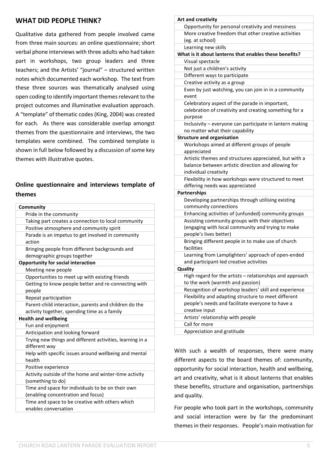#### **WHAT DID PEOPLE THINK?**

Qualitative data gathered from people involved came from three main sources: an online questionnaire; short verbal phone interviews with three adults who had taken part in workshops, two group leaders and three teachers; and the Artists' "journal" – structured written notes which documented each workshop. The text from these three sources was thematically analysed using open coding to identify important themes relevant to the project outcomes and illuminative evaluation approach. A "template" of thematic codes (King, 2004) was created for each. As there was considerable overlap amongst themes from the questionnaire and interviews, the two templates were combined. The combined template is shown in full below followed by a discussion of some key themes with illustrative quotes.

#### **Online questionnaire and interviews template of themes**

| Community                                                                                             |
|-------------------------------------------------------------------------------------------------------|
| Pride in the community                                                                                |
| Taking part creates a connection to local community                                                   |
| Positive atmosphere and community spirit                                                              |
| Parade is an impetus to get involved in community<br>action                                           |
| Bringing people from different backgrounds and                                                        |
| demographic groups together                                                                           |
| <b>Opportunity for social interaction</b>                                                             |
| Meeting new people                                                                                    |
| Opportunities to meet up with existing friends                                                        |
| Getting to know people better and re-connecting with<br>people                                        |
| Repeat participation                                                                                  |
| Parent-child interaction, parents and children do the<br>activity together, spending time as a family |
| <b>Health and wellbeing</b>                                                                           |
| Fun and enjoyment                                                                                     |
| Anticipation and looking forward                                                                      |
| Trying new things and different activities, learning in a<br>different way                            |
| Help with specific issues around wellbeing and mental<br>health                                       |
| Positive experience                                                                                   |
| Activity outside of the home and winter-time activity                                                 |
| (something to do)                                                                                     |
| Time and space for individuals to be on their own<br>(enabling concentration and focus)               |
| Time and space to be creative with others which<br>enables conversation                               |

| Opportunity for personal creativity and messiness                                           |
|---------------------------------------------------------------------------------------------|
|                                                                                             |
| More creative freedom that other creative activities                                        |
| (eg. at school)                                                                             |
| Learning new skills                                                                         |
| What is it about lanterns that enables these benefits?                                      |
| Visual spectacle                                                                            |
| Not just a children's activity                                                              |
| Different ways to participate                                                               |
| Creative activity as a group                                                                |
| Even by just watching, you can join in in a community<br>event                              |
| Celebratory aspect of the parade in important,                                              |
| celebration of creativity and creating something for a<br>purpose                           |
| Inclusivity - everyone can participate in lantern making<br>no matter what their capability |
| <b>Structure and organisation</b>                                                           |
| Workshops aimed at different groups of people<br>appreciated                                |
| Artistic themes and structures appreciated, but with a                                      |
| balance between artistic direction and allowing for                                         |
| individual creativity                                                                       |
| Flexibility in how workshops were structured to meet<br>differing needs was appreciated     |
| <b>Partnerships</b>                                                                         |
| Developing partnerships through utilising existing<br>community connections                 |
| Enhancing activities of (unfunded) community groups                                         |
| Assisting community groups with their objectives                                            |
| (engaging with local community and trying to make<br>people's lives better)                 |
| Bringing different people in to make use of church<br>facilities                            |
| Learning from Lamplighters' approach of open-ended                                          |
| and participant-led creative activities                                                     |
| Quality                                                                                     |
| High regard for the artists - relationships and approach                                    |
| to the work (warmth and passion)                                                            |
| Recognition of workshop leaders' skill and experience                                       |
| Flexibility and adapting structure to meet different                                        |
| people's needs and facilitate everyone to have a                                            |
| creative input                                                                              |
| Artists' relationship with people                                                           |
| Call for more                                                                               |
| Appreciation and gratitude                                                                  |

With such a wealth of responses, there were many different aspects to the board themes of: community, opportunity for social interaction, health and wellbeing, art and creativity, what is it about lanterns that enables these benefits, structure and organisation, partnerships and quality.

For people who took part in the workshops, community and social interaction were by far the predominant themes in their responses. People's main motivation for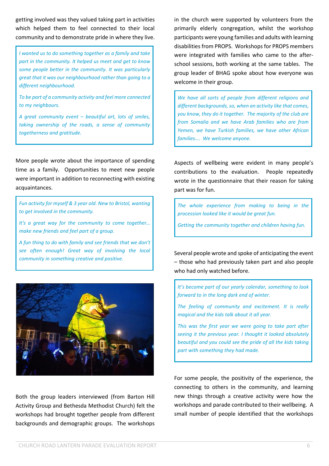getting involved was they valued taking part in activities which helped them to feel connected to their local community and to demonstrate pride in where they live.

*I wanted us to do something together as a family and take part in the community. It helped us meet and get to know some people better in the community. It was particularly great that it was our neighbourhood rather than going to a different neighbourhood.*

*To be part of a community activity and feel more connected to my neighbours.*

*A great community event – beautiful art, lots of smiles, taking ownership of the roads, a sense of community togetherness and gratitude.*

More people wrote about the importance of spending time as a family. Opportunities to meet new people were important in addition to reconnecting with existing acquaintances.

*Fun activity for myself & 3 year old. New to Bristol, wanting to get involved in the community.*

*It's a great way for the community to come together… make new friends and feel part of a group.*

*A fun thing to do with family and see friends that we don't see often enough! Great way of involving the local community in something creative and positive.*



Both the group leaders interviewed (from Barton Hill Activity Group and Bethesda Methodist Church) felt the workshops had brought together people from different backgrounds and demographic groups. The workshops

in the church were supported by volunteers from the primarily elderly congregation, whilst the workshop participants were young families and adults with learning disabilities from PROPS. Workshops for PROPS members were integrated with families who came to the afterschool sessions, both working at the same tables. The group leader of BHAG spoke about how everyone was welcome in their group.

*We have all sorts of people from different religions and different backgrounds, so, when an activity like that comes, you know, they do it together. The majority of the club are from Somalia and we have Arab families who are from Yemen, we have Turkish families, we have other African families…. We welcome anyone.* 

Aspects of wellbeing were evident in many people's contributions to the evaluation. People repeatedly wrote in the questionnaire that their reason for taking part was for fun.

*The whole experience from making to being in the procession looked like it would be great fun.*

*Getting the community together and children having fun.*

Several people wrote and spoke of anticipating the event – those who had previously taken part and also people who had only watched before.

*It's become part of our yearly calendar, something to look forward to in the long dark end of winter.*

*The feeling of community and excitement. It is really magical and the kids talk about it all year.*

*This was the first year we were going to take part after seeing it the previous year. I thought it looked absolutely beautiful and you could see the pride of all the kids taking part with something they had made.*

For some people, the positivity of the experience, the connecting to others in the community, and learning new things through a creative activity were how the workshops and parade contributed to their wellbeing. A small number of people identified that the workshops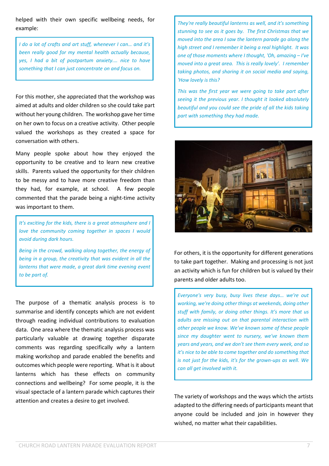helped with their own specific wellbeing needs, for example:

*I do a lot of crafts and art stuff, whenever I can… and it's been really good for my mental health actually because, yes, I had a bit of postpartum anxiety.… nice to have something that I can just concentrate on and focus on.*

For this mother, she appreciated that the workshop was aimed at adults and older children so she could take part without her young children. The workshop gave hertime on her own to focus on a creative activity. Other people valued the workshops as they created a space for conversation with others.

Many people spoke about how they enjoyed the opportunity to be creative and to learn new creative skills. Parents valued the opportunity for their children to be messy and to have more creative freedom than they had, for example, at school. A few people commented that the parade being a night-time activity was important to them.

*It's exciting for the kids, there is a great atmosphere and I love the community coming together in spaces I would avoid during dark hours.*

*Being in the crowd, walking along together, the energy of being in a group, the creativity that was evident in all the lanterns that were made, a great dark time evening event to be part of.*

The purpose of a thematic analysis process is to summarise and identify concepts which are not evident through reading individual contributions to evaluation data. One area where the thematic analysis process was particularly valuable at drawing together disparate comments was regarding specifically *why* a lantern making workshop and parade enabled the benefits and outcomes which people were reporting. What is it about lanterns which has these effects on community connections and wellbeing? For some people, it is the visual spectacle of a lantern parade which captures their attention and creates a desire to get involved.

*They're really beautiful lanterns as well, and it's something stunning to see as it goes by. The first Christmas that we moved into the area I saw the lantern parade go along the high street and I remember it being a real highlight. It was one of those moments where I thought, 'Oh, amazing – I've moved into a great area. This is really lovely'. I remember taking photos, and sharing it on social media and saying, 'How lovely is this?*

*This was the first year we were going to take part after seeing it the previous year. I thought it looked absolutely beautiful and you could see the pride of all the kids taking part with something they had made.*



For others, it is the opportunity for different generations to take part together. Making and processing is not just an activity which is fun for children but is valued by their parents and older adults too.

*Everyone's very busy, busy lives these days… we're out working, we're doing other things at weekends, doing other stuff with family, or doing other things. It's more that us adults are missing out on that parental interaction with other people we know. We've known some of these people since my daughter went to nursery, we've known them years and years, and we don't see them every week, and so it's nice to be able to come together and do something that is not just for the kids, it's for the grown-ups as well. We can all get involved with it.*

The variety of workshops and the ways which the artists adapted to the differing needs of participants meant that anyone could be included and join in however they wished, no matter what their capabilities.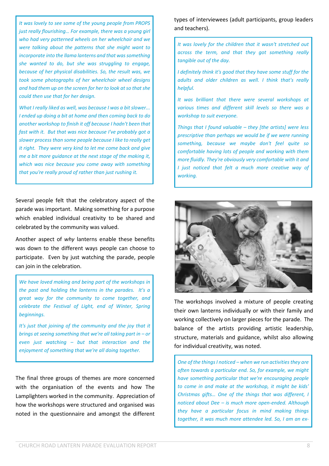*It was lovely to see some of the young people from PROPS just really flourishing… For example, there was a young girl who had very patterned wheels on her wheelchair and we were talking about the patterns that she might want to incorporate into the llama lanterns and that wassomething she wanted to do, but she was struggling to engage, because of her physical disabilities. So, the result was, we took some photographs of her wheelchair wheel designs and had them up on the screen for her to look at so that she could then use that for her design.*

*What I really liked as well, was because I was a bit slower... I ended up doing a bit at home and then coming back to do another workshop to finish it off because I hadn't been that fast with it. But that was nice because I've probably got a slower processthan some people because I like to really get it right. They were very kind to let me come back and give me a bit more guidance at the next stage of the making it, which was nice because you come away with something that you're really proud of rather than just rushing it.*

Several people felt that the celebratory aspect of the parade was important. Making something for a purpose which enabled individual creativity to be shared and celebrated by the community was valued.

Another aspect of *why* lanterns enable these benefits was down to the different ways people can choose to participate. Even by just watching the parade, people can join in the celebration.

*We have loved making and being part of the workshops in the past and holding the lanterns in the parades. It's a great way for the community to come together, and celebrate the Festival of Light, end of Winter, Spring beginnings.*

*It's just that joining of the community and the joy that it brings at seeing something that we're all taking part in – or even just watching – but that interaction and the enjoyment of something that we're all doing together.*

The final three groups of themes are more concerned with the organisation of the events and how The Lamplighters worked in the community. Appreciation of how the workshops were structured and organised was noted in the questionnaire and amongst the different types of interviewees (adult participants, group leaders and teachers).

*It was lovely for the children that it wasn't stretched out across the term, and that they got something really tangible out of the day.*

*I definitely think it's good that they have some stuff for the adults and older children as well. I think that's really helpful.*

*It was brilliant that there were several workshops at various times and different skill levels so there was a workshop to suit everyone.*

*Things that I found valuable – they [the artists] were less prescriptive than perhaps we would be if we were running something, because we maybe don't feel quite so comfortable having lots of people and working with them more fluidly. They're obviously very comfortable with it and I just noticed that felt a much more creative way of working.*



The workshops involved a mixture of people creating their own lanterns individually or with their family and working collectively on larger pieces for the parade. The balance of the artists providing artistic leadership, structure, materials and guidance, whilst also allowing for individual creativity, was noted.

*One of the thingsI noticed – when we run activitiesthey are often towards a particular end. So, for example, we might have something particular that we're encouraging people to come in and make at the workshop, it might be kids' Christmas gifts… One of the things that was different, I noticed about Dee – is much more open-ended. Although they have a particular focus in mind making things together, it was much more attendee led. So, I am an ex-*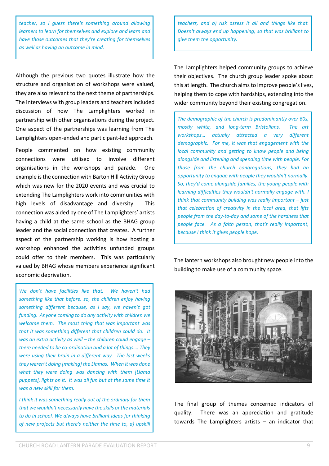*teacher, so I guess there's something around allowing learners to learn for themselves and explore and learn and have those outcomes that they're creating for themselves as well as having an outcome in mind.*

Although the previous two quotes illustrate how the structure and organisation of workshops were valued, they are also relevant to the next theme of partnerships. The interviews with group leaders and teachers included discussion of how The Lamplighters worked in partnership with other organisations during the project. One aspect of the partnerships was learning from The Lamplighters open-ended and participant-led approach.

People commented on how existing community connections were utilised to involve different organisations in the workshops and parade. One example is the connection with Barton Hill Activity Group which was new for the 2020 events and was crucial to extending The Lamplighters work into communities with high levels of disadvantage and diversity. This connection was aided by one of The Lamplighters' artists having a child at the same school as the BHAG group leader and the social connection that creates. A further aspect of the partnership working is how hosting a workshop enhanced the activities unfunded groups could offer to their members. This was particularly valued by BHAG whose members experience significant economic deprivation.

*We don't have facilities like that. We haven't had something like that before, so, the children enjoy having something different because, as I say, we haven't got funding. Anyone coming to do any activity with children we welcome them. The most thing that was important was that it was something different that children could do. It was an extra activity as well – the children could engage – there needed to be co-ordination and a lot of things…. They were using their brain in a different way. The last weeks they weren't doing [making] the Llamas. When it was done what they were doing was dancing with them [Llama puppets], lights on it. It was all fun but at the same time it was a new skill for them.*

*I think it was something really out of the ordinary for them that we wouldn't necessarily have the skills or the materials to do in school. We always have brilliant ideas for thinking of new projects but there's neither the time to, a) upskill* *teachers, and b) risk assess it all and things like that. Doesn't always end up happening, so that was brilliant to give them the opportunity.*

The Lamplighters helped community groups to achieve their objectives. The church group leader spoke about this at length. The church aims to improve people's lives, helping them to cope with hardships, extending into the wider community beyond their existing congregation.

*The demographic of the church is predominantly over 60s, mostly white, and long-term Bristolians. The art workshops… actually attracted a very different demographic. For me, it was that engagement with the local community and getting to know people and being alongside and listening and spending time with people. For those from the church congregations, they had an opportunity to engage with people they wouldn't normally. So, they'd come alongside families, the young people with learning difficulties they wouldn't normally engage with. I think that community building was really important – just that celebration of creativity in the local area, that lifts people from the day-to-day and some of the hardness that people face. As a faith person, that's really important, because I think it gives people hope.*

The lantern workshops also brought new people into the building to make use of a community space.



The final group of themes concerned indicators of quality. There was an appreciation and gratitude towards The Lamplighters artists – an indicator that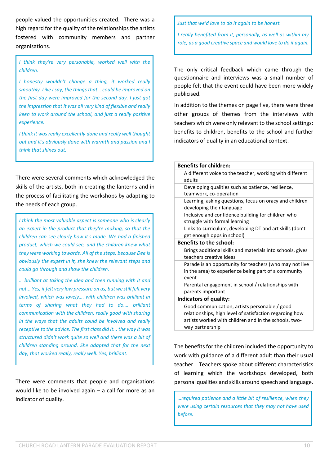people valued the opportunities created. There was a high regard for the quality of the relationships the artists fostered with community members and partner organisations.

*I think they're very personable, worked well with the children.*

*I honestly wouldn't change a thing, it worked really smoothly. Like I say, the things that… could be improved on the first day were improved for the second day. I just got the impression that it was all very kind of flexible and really keen to work around the school, and just a really positive experience.*

*I think it was really excellently done and really well thought out and it's obviously done with warmth and passion and I think that shines out.*

There were several comments which acknowledged the skills of the artists, both in creating the lanterns and in the process of facilitating the workshops by adapting to the needs of each group.

*I think the most valuable aspect is someone who is clearly an expert in the product that they're making, so that the children can see clearly how it's made. We had a finished product, which we could see, and the children knew what they were working towards. All of the steps, because Dee is obviously the expert in it, she knew the relevant steps and could go through and show the children.*

*… brilliant at taking the idea and then running with it and not... Yes, it felt very low pressure on us, but we still felt very involved, which was lovely…. with children was brilliant in terms of sharing what they had to do…. brilliant communication with the children, really good with sharing in the ways that the adults could be involved and really receptive to the advice. The first class did it... the way it was structured didn't work quite so well and there was a bit of children standing around. She adapted that for the next day, that worked really, really well. Yes, brilliant.*

There were comments that people and organisations would like to be involved again – a call for more as an indicator of quality.

*Just that we'd love to do it again to be honest.*

*I really benefited from it, personally, as well as within my role, as a good creative space and would love to do it again.*

The only critical feedback which came through the questionnaire and interviews was a small number of people felt that the event could have been more widely publicised.

In addition to the themes on page five, there were three other groups of themes from the interviews with teachers which were only relevant to the school settings: benefits to children, benefits to the school and further indicators of quality in an educational context.

| <b>Benefits for children:</b>                                                                                                                                                        |
|--------------------------------------------------------------------------------------------------------------------------------------------------------------------------------------|
| A different voice to the teacher, working with different<br>adults                                                                                                                   |
| Developing qualities such as patience, resilience,<br>teamwork, co-operation                                                                                                         |
| Learning, asking questions, focus on oracy and children<br>developing their language                                                                                                 |
| Inclusive and confidence building for children who<br>struggle with formal learning                                                                                                  |
| Links to curriculum, developing DT and art skills (don't<br>get enough opps in school)                                                                                               |
| <b>Benefits to the school:</b>                                                                                                                                                       |
| Brings additional skills and materials into schools, gives<br>teachers creative ideas                                                                                                |
| Parade is an opportunity for teachers (who may not live<br>in the area) to experience being part of a community<br>event                                                             |
| Parental engagement in school / relationships with<br>parents important                                                                                                              |
| Indicators of quality:                                                                                                                                                               |
| Good communication, artists personable / good<br>relationships, high level of satisfaction regarding how<br>artists worked with children and in the schools, two-<br>way partnership |

The benefits for the children included the opportunity to work with guidance of a different adult than their usual teacher. Teachers spoke about different characteristics of learning which the workshops developed, both personal qualities and skills around speech and language.

*…required patience and a little bit of resilience, when they were using certain resources that they may not have used before.*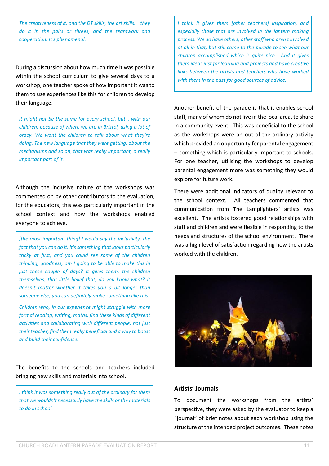*The creativeness of it, and the DT skills, the art skills… they do it in the pairs or threes, and the teamwork and cooperation. It's phenomenal.*

During a discussion about how much time it was possible within the school curriculum to give several days to a workshop, one teacher spoke of how important it wasto them to use experiences like this for children to develop their language.

*It might not be the same for every school, but… with our children, because of where we are in Bristol, using a lot of oracy. We want the children to talk about what they're doing. The new language that they were getting, about the mechanisms and so on, that was really important, a really important part of it.*

Although the inclusive nature of the workshops was commented on by other contributors to the evaluation, for the educators, this was particularly important in the school context and how the workshops enabled everyone to achieve.

*[the most important thing] I would say the inclusivity, the fact that you can do it. It'ssomething that looks particularly tricky at first, and you could see some of the children thinking, goodness, am I going to be able to make this in just these couple of days? It gives them, the children themselves, that little belief that, do you know what? It doesn't matter whether it takes you a bit longer than someone else, you can definitely make something like this.*

*Children who, in our experience might struggle with more formal reading, writing, maths, find these kinds of different activities and collaborating with different people, not just their teacher, find them really beneficial and a way to boost and build their confidence.*

The benefits to the schools and teachers included bringing new skills and materials into school.

*I think it was something really out of the ordinary for them that we wouldn't necessarily have the skills or the materials to do in school.*

*I think it gives them [other teachers] inspiration, and especially those that are involved in the lantern making process. We do have others, otherstaff who aren't involved at all in that, but still come to the parade to see what our children accomplished which is quite nice. And it gives them ideas just for learning and projects and have creative links between the artists and teachers who have worked with them in the past for good sources of advice.*

Another benefit of the parade is that it enables school staff, many of whom do not live in the local area, to share in a community event. This was beneficial to the school as the workshops were an out-of-the-ordinary activity which provided an opportunity for parental engagement – something which is particularly important to schools. For one teacher, utilising the workshops to develop parental engagement more was something they would explore for future work.

There were additional indicators of quality relevant to the school context. All teachers commented that communication from The Lamplighters' artists was excellent. The artists fostered good relationships with staff and children and were flexible in responding to the needs and structures of the school environment. There was a high level of satisfaction regarding how the artists worked with the children.



#### **Artists' Journals**

To document the workshops from the artists' perspective, they were asked by the evaluator to keep a "journal" of brief notes about each workshop using the structure of the intended project outcomes. These notes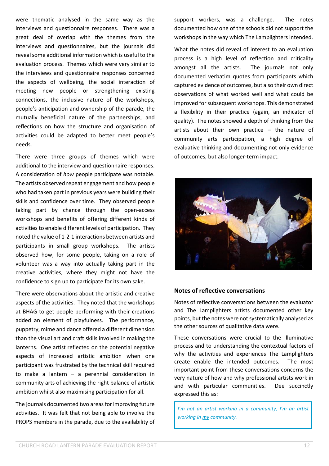were thematic analysed in the same way as the interviews and questionnaire responses. There was a great deal of overlap with the themes from the interviews and questionnaires, but the journals did reveal some additional information which is useful to the evaluation process. Themes which were very similar to the interviews and questionnaire responses concerned the aspects of wellbeing, the social interaction of meeting new people or strengthening existing connections, the inclusive nature of the workshops, people's anticipation and ownership of the parade, the mutually beneficial nature of the partnerships, and reflections on how the structure and organisation of activities could be adapted to better meet people's needs.

There were three groups of themes which were additional to the interview and questionnaire responses. A consideration of *how* people participate was notable. The artists observed repeat engagement and how people who had taken part in previous years were building their skills and confidence over time. They observed people taking part by chance through the open-access workshops and benefits of offering different kinds of activities to enable different levels of participation. They noted the value of 1-2-1 interactions between artists and participants in small group workshops. The artists observed how, for some people, taking on a role of volunteer was a way into actually taking part in the creative activities, where they might not have the confidence to sign up to participate for its own sake.

There were observations about the artistic and creative aspects of the activities. They noted that the workshops at BHAG to get people performing with their creations added an element of playfulness. The performance, puppetry, mime and dance offered a different dimension than the visual art and craft skills involved in making the lanterns. One artist reflected on the potential negative aspects of increased artistic ambition when one participant was frustrated by the technical skill required to make a lantern – a perennial consideration in community arts of achieving the right balance of artistic ambition whilst also maximising participation for all.

The journals documented two areas for improving future activities. It was felt that not being able to involve the PROPS members in the parade, due to the availability of support workers, was a challenge. The notes documented how one of the schools did not support the workshops in the way which The Lamplighters intended.

What the notes did reveal of interest to an evaluation process is a high level of reflection and criticality amongst all the artists. The journals not only documented verbatim quotes from participants which captured evidence of outcomes, but also their own direct observations of what worked well and what could be improved for subsequent workshops. This demonstrated a flexibility in their practice (again, an indicator of quality). The notes showed a depth of thinking from the artists about their own practice – the nature of community arts participation, a high degree of evaluative thinking and documenting not only evidence of outcomes, but also longer-term impact.



#### **Notes of reflective conversations**

Notes of reflective conversations between the evaluator and The Lamplighters artists documented other key points, but the notes were not systematically analysed as the other sources of qualitative data were.

These conversations were crucial to the illuminative process and to understanding the contextual factors of why the activities and experiences The Lamplighters create enable the intended outcomes. The most important point from these conversations concerns the very nature of how and why professional artists work in and with particular communities. Dee succinctly expressed this as:

*I'm not an artist working in a community, I'm an artist working in my community.*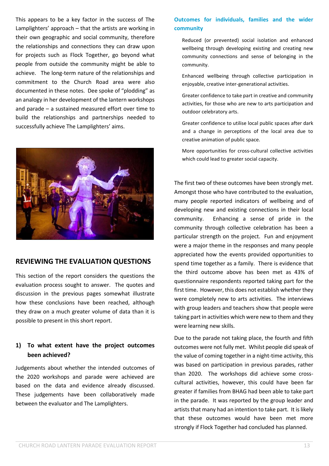This appears to be a key factor in the success of The Lamplighters' approach – that the artists are working in their own geographic and social community, therefore the relationships and connections they can draw upon for projects such as Flock Together, go beyond what people from outside the community might be able to achieve. The long-term nature of the relationships and commitment to the Church Road area were also documented in these notes. Dee spoke of "plodding" as an analogy in her development of the lantern workshops and parade – a sustained measured effort over time to build the relationships and partnerships needed to successfully achieve The Lamplighters' aims.



#### **REVIEWING THE EVALUATION QUESTIONS**

This section of the report considers the questions the evaluation process sought to answer. The quotes and discussion in the previous pages somewhat illustrate how these conclusions have been reached, although they draw on a much greater volume of data than it is possible to present in this short report.

#### **1) To what extent have the project outcomes been achieved?**

Judgements about whether the intended outcomes of the 2020 workshops and parade were achieved are based on the data and evidence already discussed. These judgements have been collaboratively made between the evaluator and The Lamplighters.

#### **Outcomes for individuals, families and the wider community**

Reduced (or prevented) social isolation and enhanced wellbeing through developing existing and creating new community connections and sense of belonging in the community.

Enhanced wellbeing through collective participation in enjoyable, creative inter-generational activities.

Greater confidence to take part in creative and community activities, for those who are new to arts participation and outdoor celebratory arts.

Greater confidence to utilise local public spaces after dark and a change in perceptions of the local area due to creative animation of public space.

More opportunities for cross-cultural collective activities which could lead to greater social capacity.

The first two of these outcomes have been strongly met. Amongst those who have contributed to the evaluation, many people reported indicators of wellbeing and of developing new and existing connections in their local community. Enhancing a sense of pride in the community through collective celebration has been a particular strength on the project. Fun and enjoyment were a major theme in the responses and many people appreciated how the events provided opportunities to spend time together as a family. There is evidence that the third outcome above has been met as 43% of questionnaire respondents reported taking part for the first time. However, this does not establish whether they were completely new to arts activities. The interviews with group leaders and teachers show that people were taking part in activities which were new to them and they were learning new skills.

Due to the parade not taking place, the fourth and fifth outcomes were not fully met. Whilst people did speak of the value of coming together in a night-time activity, this was based on participation in previous parades, rather than 2020. The workshops did achieve some crosscultural activities, however, this could have been far greater if families from BHAG had been able to take part in the parade. It was reported by the group leader and artists that many had an intention to take part. It is likely that these outcomes would have been met more strongly if Flock Together had concluded has planned.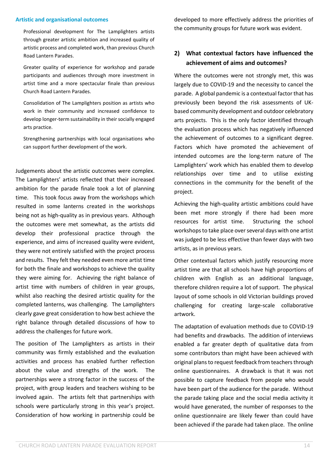#### **Artistic and organisational outcomes**

Professional development for The Lamplighters artists through greater artistic ambition and increased quality of artistic process and completed work, than previous Church Road Lantern Parades.

Greater quality of experience for workshop and parade participants and audiences through more investment in artist time and a more spectacular finale than previous Church Road Lantern Parades.

Consolidation of The Lamplighters position as artists who work in their community and increased confidence to develop longer-term sustainability in their socially engaged arts practice.

Strengthening partnerships with local organisations who can support further development of the work.

Judgements about the artistic outcomes were complex. The Lamplighters' artists reflected that their increased ambition for the parade finale took a lot of planning time. This took focus away from the workshops which resulted in some lanterns created in the workshops being not as high-quality as in previous years. Although the outcomes were met somewhat, as the artists did develop their professional practice through the experience, and aims of increased quality were evident, they were not entirely satisfied with the project process and results. They felt they needed even more artist time for both the finale and workshops to achieve the quality they were aiming for. Achieving the right balance of artist time with numbers of children in year groups, whilst also reaching the desired artistic quality for the completed lanterns, was challenging. The Lamplighters clearly gave great consideration to how best achieve the right balance through detailed discussions of how to address the challenges for future work.

The position of The Lamplighters as artists in their community was firmly established and the evaluation activities and process has enabled further reflection about the value and strengths of the work. The partnerships were a strong factor in the success of the project, with group leaders and teachers wishing to be involved again. The artists felt that partnerships with schools were particularly strong in this year's project. Consideration of how working in partnership could be developed to more effectively address the priorities of the community groups for future work was evident.

#### **2) What contextual factors have influenced the achievement of aims and outcomes?**

Where the outcomes were not strongly met, this was largely due to COVID-19 and the necessity to cancel the parade. A global pandemic is a contextual factor that has previously been beyond the risk assessments of UKbased community development and outdoor celebratory arts projects. This is the only factor identified through the evaluation process which has negatively influenced the achievement of outcomes to a significant degree. Factors which have promoted the achievement of intended outcomes are the long-term nature of The Lamplighters' work which has enabled them to develop relationships over time and to utilise existing connections in the community for the benefit of the project.

Achieving the high-quality artistic ambitions could have been met more strongly if there had been more resources for artist time. Structuring the school workshops to take place over several days with one artist was judged to be less effective than fewer days with two artists, as in previous years.

Other contextual factors which justify resourcing more artist time are that all schools have high proportions of children with English as an additional language, therefore children require a lot of support. The physical layout of some schools in old Victorian buildings proved challenging for creating large-scale collaborative artwork.

The adaptation of evaluation methods due to COVID-19 had benefits and drawbacks. The addition of interviews enabled a far greater depth of qualitative data from some contributors than might have been achieved with original plans to request feedback from teachers through online questionnaires. A drawback is that it was not possible to capture feedback from people who would have been part of the audience for the parade. Without the parade taking place and the social media activity it would have generated, the number of responses to the online questionnaire are likely fewer than could have been achieved if the parade had taken place. The online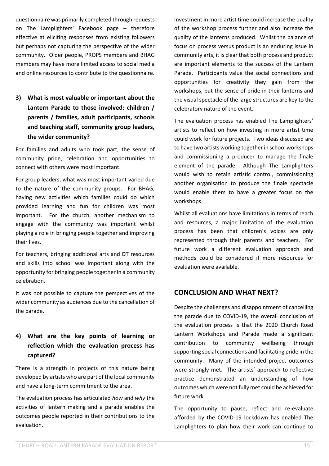questionnaire was primarily completed through requests on The Lamplighters' Facebook page – therefore effective at eliciting responses from existing followers but perhaps not capturing the perspective of the wider community. Older people, PROPS members and BHAG members may have more limited access to social media and online resources to contribute to the questionnaire.

**3) What is most valuable or important about the Lantern Parade to those involved: children / parents / families, adult participants, schools and teaching staff, community group leaders, the wider community?**

For families and adults who took part, the sense of community pride, celebration and opportunities to connect with others were most important.

For group leaders, what was most important varied due to the nature of the community groups. For BHAG, having new activities which families could do which provided learning and fun for children was most important. For the church, another mechanism to engage with the community was important whilst playing a role in bringing people together and improving their lives.

For teachers, bringing additional arts and DT resources and skills into school was important along with the opportunity for bringing people together in a community celebration.

It was not possible to capture the perspectives of the wider community as audiences due to the cancellation of the parade.

#### **4) What are the key points of learning or reflection which the evaluation process has captured?**

There is a strength in projects of this nature being developed by artists who are part of the local community and have a long-term commitment to the area.

The evaluation process has articulated *how* and *why* the activities of lantern making and a parade enables the outcomes people reported in their contributions to the evaluation.

Investment in more artist time could increase the quality of the workshop process further and also increase the quality of the lanterns produced. Whilst the balance of focus on process versus product is an enduring issue in community arts, it is clear that both process and product are important elements to the success of the Lantern Parade. Participants value the social connections and opportunities for creativity they gain from the workshops, but the sense of pride in their lanterns and the visual spectacle of the large structures are key to the celebratory nature of the event.

The evaluation process has enabled The Lamplighters' artists to reflect on how investing in more artist time could work for future projects. Two ideas discussed are to have two artists working together in school workshops and commissioning a producer to manage the finale element of the parade. Although The Lamplighters would wish to retain artistic control, commissioning another organisation to produce the finale spectacle would enable them to have a greater focus on the workshops.

Whilst all evaluations have limitations in terms of reach and resources, a major limitation of the evaluation process has been that children's voices are only represented through their parents and teachers. For future work a different evaluation approach and methods could be considered if more resources for evaluation were available.

#### **CONCLUSION AND WHAT NEXT?**

Despite the challenges and disappointment of cancelling the parade due to COVID-19, the overall conclusion of the evaluation process is that the 2020 Church Road Lantern Workshops and Parade made a significant contribution to community wellbeing through supporting social connections and facilitating pride in the community. Many of the intended project outcomes were strongly met. The artists' approach to reflective practice demonstrated an understanding of how outcomes which were not fully met could be achieved for future work.

The opportunity to pause, reflect and re-evaluate afforded by the COVID-19 lockdown has enabled The Lamplighters to plan how their work can continue to